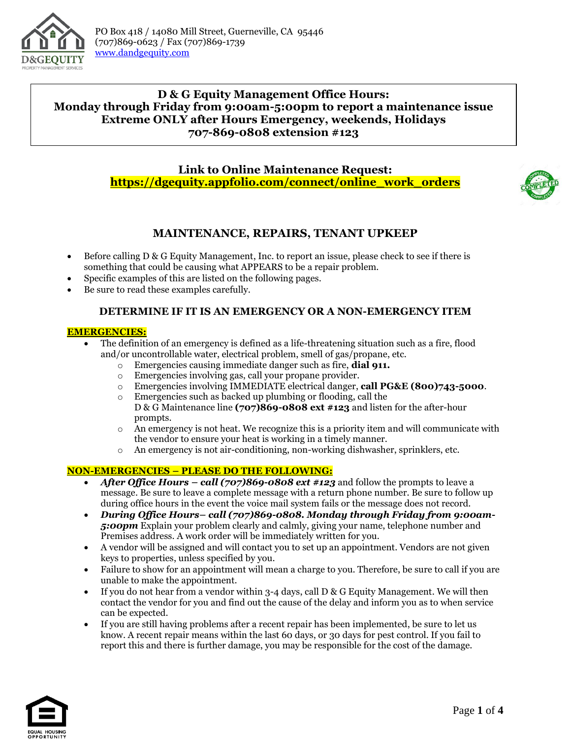

# **D & G Equity Management Office Hours: Monday through Friday from 9:00am-5:00pm to report a maintenance issue Extreme ONLY after Hours Emergency, weekends, Holidays 707-869-0808 extension #123**

**Link to Online Maintenance Request: [https://dgequity.appfolio.com/connect/online\\_work\\_orders](https://dgequity.appfolio.com/connect/online_work_orders)**



# **MAINTENANCE, REPAIRS, TENANT UPKEEP**

- Before calling D & G Equity Management, Inc. to report an issue, please check to see if there is something that could be causing what APPEARS to be a repair problem.
- Specific examples of this are listed on the following pages.
- Be sure to read these examples carefully.

# **DETERMINE IF IT IS AN EMERGENCY OR A NON-EMERGENCY ITEM**

## **EMERGENCIES:**

- The definition of an emergency is defined as a life-threatening situation such as a fire, flood and/or uncontrollable water, electrical problem, smell of gas/propane, etc.
	- o Emergencies causing immediate danger such as fire, **dial 911.**
	- o Emergencies involving gas, call your propane provider.
	- o Emergencies involving IMMEDIATE electrical danger, **call PG&E (800)743-5000**.
	- o Emergencies such as backed up plumbing or flooding, call the D & G Maintenance line **(707)869-0808 ext #123** and listen for the after-hour prompts.
	- $\circ$  An emergency is not heat. We recognize this is a priority item and will communicate with the vendor to ensure your heat is working in a timely manner.
	- o An emergency is not air-conditioning, non-working dishwasher, sprinklers, etc.

## **NON-EMERGENCIES – PLEASE DO THE FOLLOWING:**

- *After Office Hours – call (707)869-0808 ext #123* and follow the prompts to leave a message. Be sure to leave a complete message with a return phone number. Be sure to follow up during office hours in the event the voice mail system fails or the message does not record.
- *During Office Hours– call (707)869-0808. Monday through Friday from 9:00am-5:00pm* Explain your problem clearly and calmly, giving your name, telephone number and Premises address. A work order will be immediately written for you.
- A vendor will be assigned and will contact you to set up an appointment. Vendors are not given keys to properties, unless specified by you.
- Failure to show for an appointment will mean a charge to you. Therefore, be sure to call if you are unable to make the appointment.
- If you do not hear from a vendor within 3-4 days, call D & G Equity Management. We will then contact the vendor for you and find out the cause of the delay and inform you as to when service can be expected.
- If you are still having problems after a recent repair has been implemented, be sure to let us know. A recent repair means within the last 60 days, or 30 days for pest control. If you fail to report this and there is further damage, you may be responsible for the cost of the damage.

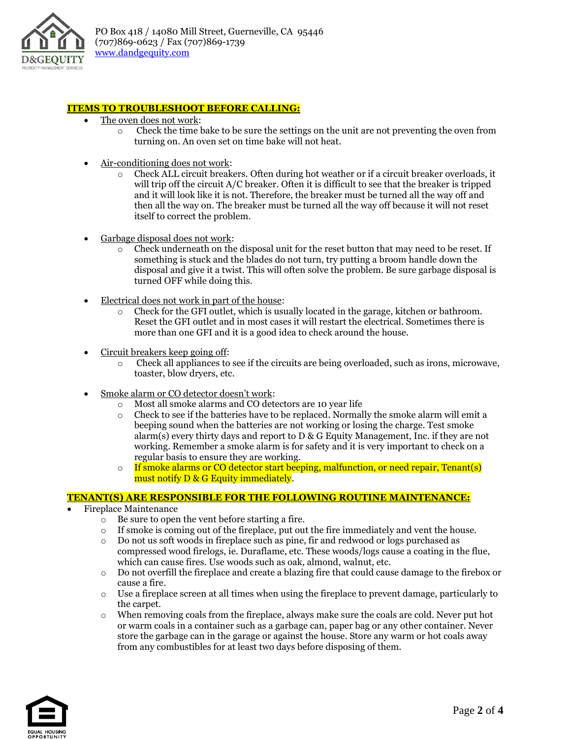

#### **ITEMS TO TROUBLESHOOT BEFORE CALLING:**

- The oven does not work:
	- o Check the time bake to be sure the settings on the unit are not preventing the oven from turning on. An oven set on time bake will not heat.
- Air-conditioning does not work:
	- o Check ALL circuit breakers. Often during hot weather or if a circuit breaker overloads, it will trip off the circuit A/C breaker. Often it is difficult to see that the breaker is tripped and it will look like it is not. Therefore, the breaker must be turned all the way off and then all the way on. The breaker must be turned all the way off because it will not reset itself to correct the problem.
- Garbage disposal does not work:
	- $\circ$  Check underneath on the disposal unit for the reset button that may need to be reset. If something is stuck and the blades do not turn, try putting a broom handle down the disposal and give it a twist. This will often solve the problem. Be sure garbage disposal is turned OFF while doing this.
- Electrical does not work in part of the house:
	- $\circ$  Check for the GFI outlet, which is usually located in the garage, kitchen or bathroom. Reset the GFI outlet and in most cases it will restart the electrical. Sometimes there is more than one GFI and it is a good idea to check around the house.
- Circuit breakers keep going off:
	- o Check all appliances to see if the circuits are being overloaded, such as irons, microwave, toaster, blow dryers, etc.
- Smoke alarm or CO detector doesn't work:
	- o Most all smoke alarms and CO detectors are 10 year life
	- o Check to see if the batteries have to be replaced. Normally the smoke alarm will emit a beeping sound when the batteries are not working or losing the charge. Test smoke alarm(s) every thirty days and report to  $D \& G$  Equity Management, Inc. if they are not working. Remember a smoke alarm is for safety and it is very important to check on a regular basis to ensure they are working.
	- $\circ$  If smoke alarms or CO detector start beeping, malfunction, or need repair, Tenant(s) must notify D & G Equity immediately.

#### **TENANT(S) ARE RESPONSIBLE FOR THE FOLLOWING ROUTINE MAINTENANCE:**

- Fireplace Maintenance
	- o Be sure to open the vent before starting a fire.
	- $\circ$  If smoke is coming out of the fireplace, put out the fire immediately and vent the house.
	- o Do not us soft woods in fireplace such as pine, fir and redwood or logs purchased as compressed wood firelogs, ie. Duraflame, etc. These woods/logs cause a coating in the flue, which can cause fires. Use woods such as oak, almond, walnut, etc.
	- o Do not overfill the fireplace and create a blazing fire that could cause damage to the firebox or cause a fire.
	- $\circ$  Use a fireplace screen at all times when using the fireplace to prevent damage, particularly to the carpet.
	- o When removing coals from the fireplace, always make sure the coals are cold. Never put hot or warm coals in a container such as a garbage can, paper bag or any other container. Never store the garbage can in the garage or against the house. Store any warm or hot coals away from any combustibles for at least two days before disposing of them.

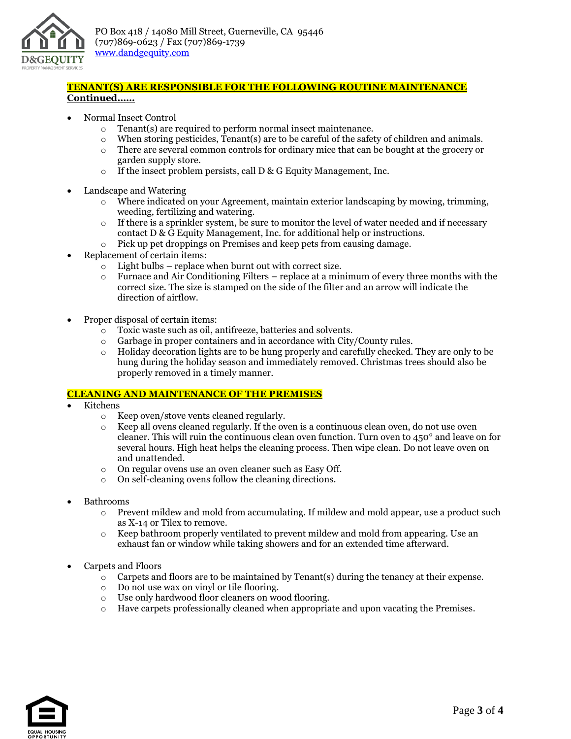

## **TENANT(S) ARE RESPONSIBLE FOR THE FOLLOWING ROUTINE MAINTENANCE Continued……**

- Normal Insect Control
	- o Tenant(s) are required to perform normal insect maintenance.
	- $\circ$  When storing pesticides, Tenant(s) are to be careful of the safety of children and animals.
	- o There are several common controls for ordinary mice that can be bought at the grocery or garden supply store.
	- $\circ$  If the insect problem persists, call D & G Equity Management, Inc.
- Landscape and Watering
	- $\circ$  Where indicated on your Agreement, maintain exterior landscaping by mowing, trimming, weeding, fertilizing and watering.
	- $\circ$  If there is a sprinkler system, be sure to monitor the level of water needed and if necessary contact D & G Equity Management, Inc. for additional help or instructions.
	- $\circ$  Pick up pet droppings on Premises and keep pets from causing damage.
- Replacement of certain items:
	- o Light bulbs replace when burnt out with correct size.
	- o Furnace and Air Conditioning Filters replace at a minimum of every three months with the correct size. The size is stamped on the side of the filter and an arrow will indicate the direction of airflow.
- Proper disposal of certain items:
	- o Toxic waste such as oil, antifreeze, batteries and solvents.
	- o Garbage in proper containers and in accordance with City/County rules.
	- $\circ$  Holiday decoration lights are to be hung properly and carefully checked. They are only to be hung during the holiday season and immediately removed. Christmas trees should also be properly removed in a timely manner.

#### **CLEANING AND MAINTENANCE OF THE PREMISES**

- Kitchens
	- o Keep oven/stove vents cleaned regularly.
	- o Keep all ovens cleaned regularly. If the oven is a continuous clean oven, do not use oven cleaner. This will ruin the continuous clean oven function. Turn oven to 450° and leave on for several hours. High heat helps the cleaning process. Then wipe clean. Do not leave oven on and unattended.
	- o On regular ovens use an oven cleaner such as Easy Off.
	- o On self-cleaning ovens follow the cleaning directions.
- Bathrooms
	- $\circ$  Prevent mildew and mold from accumulating. If mildew and mold appear, use a product such as X-14 or Tilex to remove.
	- o Keep bathroom properly ventilated to prevent mildew and mold from appearing. Use an exhaust fan or window while taking showers and for an extended time afterward.
- Carpets and Floors
	- $\circ$  Carpets and floors are to be maintained by Tenant(s) during the tenancy at their expense.
	- o Do not use wax on vinyl or tile flooring.
	- o Use only hardwood floor cleaners on wood flooring.
	- o Have carpets professionally cleaned when appropriate and upon vacating the Premises.